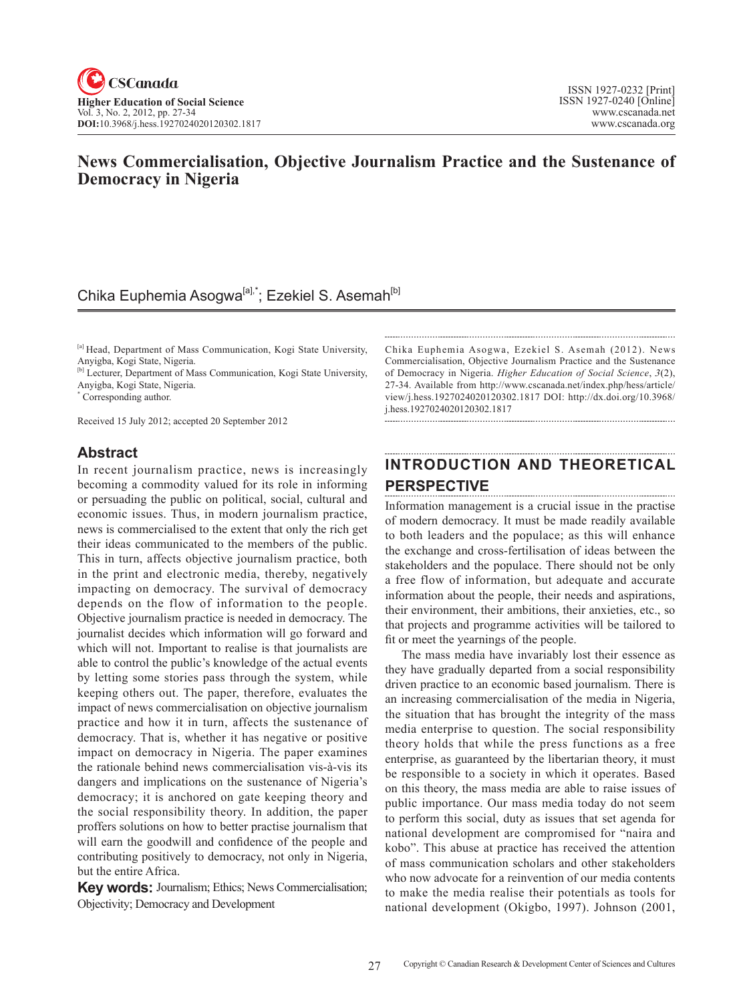## **News Commercialisation, Objective Journalism Practice and the Sustenance of Democracy in Nigeria**

# Chika Euphemia Asogwa<sup>[a],\*</sup>; Ezekiel S. Asemah<sup>[b]</sup>

[a] Head, Department of Mass Communication, Kogi State University, Anyigba, Kogi State, Nigeria.

[b] Lecturer, Department of Mass Communication, Kogi State University, Anyigba, Kogi State, Nigeria.

\* Corresponding author.

Received 15 July 2012; accepted 20 September 2012

## **Abstract**

In recent journalism practice, news is increasingly becoming a commodity valued for its role in informing or persuading the public on political, social, cultural and economic issues. Thus, in modern journalism practice, news is commercialised to the extent that only the rich get their ideas communicated to the members of the public. This in turn, affects objective journalism practice, both in the print and electronic media, thereby, negatively impacting on democracy. The survival of democracy depends on the flow of information to the people. Objective journalism practice is needed in democracy. The journalist decides which information will go forward and which will not. Important to realise is that journalists are able to control the public's knowledge of the actual events by letting some stories pass through the system, while keeping others out. The paper, therefore, evaluates the impact of news commercialisation on objective journalism practice and how it in turn, affects the sustenance of democracy. That is, whether it has negative or positive impact on democracy in Nigeria. The paper examines the rationale behind news commercialisation vis-à-vis its dangers and implications on the sustenance of Nigeria's democracy; it is anchored on gate keeping theory and the social responsibility theory. In addition, the paper proffers solutions on how to better practise journalism that will earn the goodwill and confidence of the people and contributing positively to democracy, not only in Nigeria, but the entire Africa.

**Key words:** Journalism; Ethics; News Commercialisation; Objectivity; Democracy and Development

Chika Euphemia Asogwa, Ezekiel S. Asemah (2012). News Commercialisation, Objective Journalism Practice and the Sustenance of Democracy in Nigeria. *Higher Education of Social Science*, 3(2), 27-34. Available from http://www.cscanada.net/index.php/hess/article/ view/j.hess.1927024020120302.1817 DOI: http://dx.doi.org/10.3968/ j.hess.1927024020120302.1817

#### **INTRODUCTION AND THEORETICAL PERSPECTIVE**

Information management is a crucial issue in the practise of modern democracy. It must be made readily available to both leaders and the populace; as this will enhance the exchange and cross-fertilisation of ideas between the stakeholders and the populace. There should not be only a free flow of information, but adequate and accurate information about the people, their needs and aspirations, their environment, their ambitions, their anxieties, etc., so that projects and programme activities will be tailored to fit or meet the yearnings of the people.

The mass media have invariably lost their essence as they have gradually departed from a social responsibility driven practice to an economic based journalism. There is an increasing commercialisation of the media in Nigeria, the situation that has brought the integrity of the mass media enterprise to question. The social responsibility theory holds that while the press functions as a free enterprise, as guaranteed by the libertarian theory, it must be responsible to a society in which it operates. Based on this theory, the mass media are able to raise issues of public importance. Our mass media today do not seem to perform this social, duty as issues that set agenda for national development are compromised for "naira and kobo". This abuse at practice has received the attention of mass communication scholars and other stakeholders who now advocate for a reinvention of our media contents to make the media realise their potentials as tools for national development (Okigbo, 1997). Johnson (2001,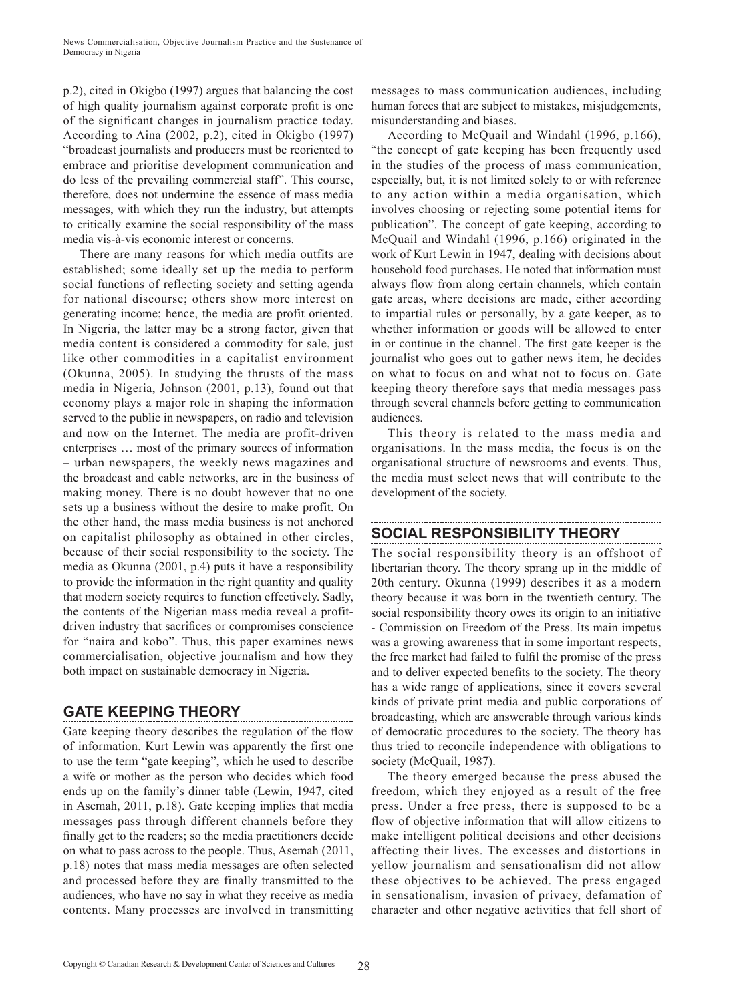p.2), cited in Okigbo (1997) argues that balancing the cost of high quality journalism against corporate profit is one of the significant changes in journalism practice today. According to Aina (2002, p.2), cited in Okigbo (1997) "broadcast journalists and producers must be reoriented to embrace and prioritise development communication and do less of the prevailing commercial staff". This course, therefore, does not undermine the essence of mass media messages, with which they run the industry, but attempts to critically examine the social responsibility of the mass media vis-à-vis economic interest or concerns.

There are many reasons for which media outfits are established; some ideally set up the media to perform social functions of reflecting society and setting agenda for national discourse; others show more interest on generating income; hence, the media are profit oriented. In Nigeria, the latter may be a strong factor, given that media content is considered a commodity for sale, just like other commodities in a capitalist environment (Okunna, 2005). In studying the thrusts of the mass media in Nigeria, Johnson (2001, p.13), found out that economy plays a major role in shaping the information served to the public in newspapers, on radio and television and now on the Internet. The media are profit-driven enterprises … most of the primary sources of information – urban newspapers, the weekly news magazines and the broadcast and cable networks, are in the business of making money. There is no doubt however that no one sets up a business without the desire to make profit. On the other hand, the mass media business is not anchored on capitalist philosophy as obtained in other circles, because of their social responsibility to the society. The media as Okunna (2001, p.4) puts it have a responsibility to provide the information in the right quantity and quality that modern society requires to function effectively. Sadly, the contents of the Nigerian mass media reveal a profitdriven industry that sacrifices or compromises conscience for "naira and kobo". Thus, this paper examines news commercialisation, objective journalism and how they both impact on sustainable democracy in Nigeria.

# **GATE KEEPING THEORY**

Gate keeping theory describes the regulation of the flow of information. Kurt Lewin was apparently the first one to use the term "gate keeping", which he used to describe a wife or mother as the person who decides which food ends up on the family's dinner table (Lewin, 1947, cited in Asemah, 2011, p.18). Gate keeping implies that media messages pass through different channels before they finally get to the readers; so the media practitioners decide on what to pass across to the people. Thus, Asemah (2011, p.18) notes that mass media messages are often selected and processed before they are finally transmitted to the audiences, who have no say in what they receive as media contents. Many processes are involved in transmitting messages to mass communication audiences, including human forces that are subject to mistakes, misjudgements, misunderstanding and biases.

According to McQuail and Windahl (1996, p.166), "the concept of gate keeping has been frequently used in the studies of the process of mass communication, especially, but, it is not limited solely to or with reference to any action within a media organisation, which involves choosing or rejecting some potential items for publication". The concept of gate keeping, according to McQuail and Windahl (1996, p.166) originated in the work of Kurt Lewin in 1947, dealing with decisions about household food purchases. He noted that information must always flow from along certain channels, which contain gate areas, where decisions are made, either according to impartial rules or personally, by a gate keeper, as to whether information or goods will be allowed to enter in or continue in the channel. The first gate keeper is the journalist who goes out to gather news item, he decides on what to focus on and what not to focus on. Gate keeping theory therefore says that media messages pass through several channels before getting to communication audiences.

This theory is related to the mass media and organisations. In the mass media, the focus is on the organisational structure of newsrooms and events. Thus, the media must select news that will contribute to the development of the society.

# **SOCIAL RESPONSIBILITY THEORY**

The social responsibility theory is an offshoot of libertarian theory. The theory sprang up in the middle of 20th century. Okunna (1999) describes it as a modern theory because it was born in the twentieth century. The social responsibility theory owes its origin to an initiative - Commission on Freedom of the Press. Its main impetus was a growing awareness that in some important respects, the free market had failed to fulfil the promise of the press and to deliver expected benefits to the society. The theory has a wide range of applications, since it covers several kinds of private print media and public corporations of broadcasting, which are answerable through various kinds of democratic procedures to the society. The theory has thus tried to reconcile independence with obligations to society (McQuail, 1987).

The theory emerged because the press abused the freedom, which they enjoyed as a result of the free press. Under a free press, there is supposed to be a flow of objective information that will allow citizens to make intelligent political decisions and other decisions affecting their lives. The excesses and distortions in yellow journalism and sensationalism did not allow these objectives to be achieved. The press engaged in sensationalism, invasion of privacy, defamation of character and other negative activities that fell short of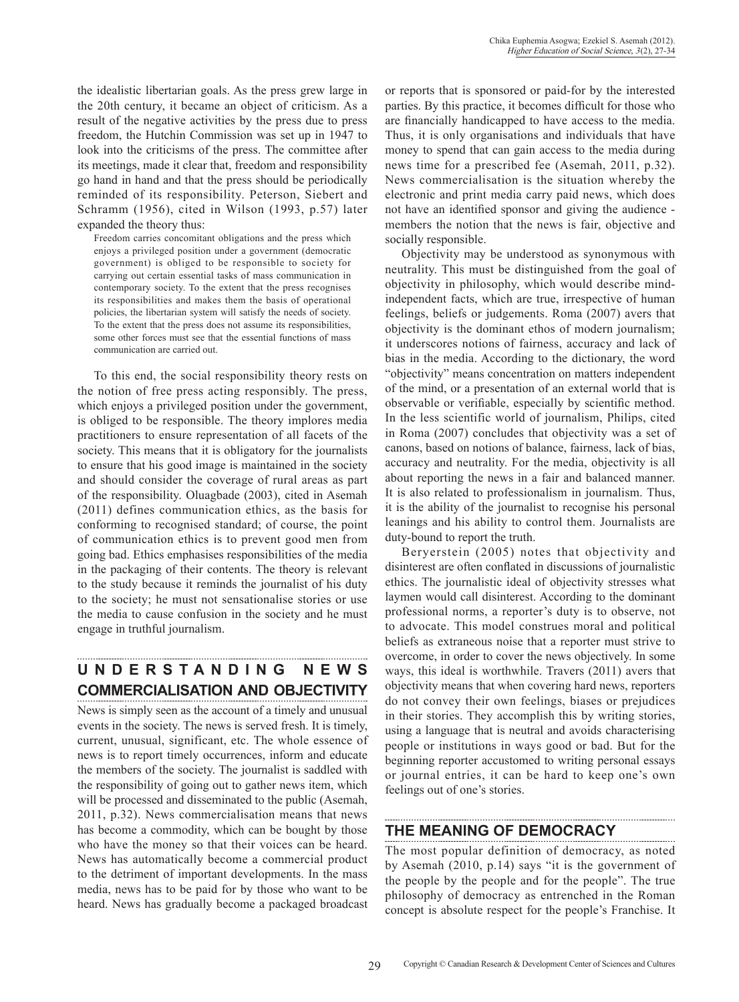the idealistic libertarian goals. As the press grew large in the 20th century, it became an object of criticism. As a result of the negative activities by the press due to press freedom, the Hutchin Commission was set up in 1947 to look into the criticisms of the press. The committee after its meetings, made it clear that, freedom and responsibility go hand in hand and that the press should be periodically reminded of its responsibility. Peterson, Siebert and Schramm (1956), cited in Wilson (1993, p.57) later expanded the theory thus:

Freedom carries concomitant obligations and the press which enjoys a privileged position under a government (democratic government) is obliged to be responsible to society for carrying out certain essential tasks of mass communication in contemporary society. To the extent that the press recognises its responsibilities and makes them the basis of operational policies, the libertarian system will satisfy the needs of society. To the extent that the press does not assume its responsibilities, some other forces must see that the essential functions of mass communication are carried out.

To this end, the social responsibility theory rests on the notion of free press acting responsibly. The press, which enjoys a privileged position under the government, is obliged to be responsible. The theory implores media practitioners to ensure representation of all facets of the society. This means that it is obligatory for the journalists to ensure that his good image is maintained in the society and should consider the coverage of rural areas as part of the responsibility. Oluagbade (2003), cited in Asemah (2011) defines communication ethics, as the basis for conforming to recognised standard; of course, the point of communication ethics is to prevent good men from going bad. Ethics emphasises responsibilities of the media in the packaging of their contents. The theory is relevant to the study because it reminds the journalist of his duty to the society; he must not sensationalise stories or use the media to cause confusion in the society and he must engage in truthful journalism.

# **U N D E R S T A N D I N G N E W S COMMERCIALISATION AND OBJECTIVITY**

News is simply seen as the account of a timely and unusual events in the society. The news is served fresh. It is timely, current, unusual, significant, etc. The whole essence of news is to report timely occurrences, inform and educate the members of the society. The journalist is saddled with the responsibility of going out to gather news item, which will be processed and disseminated to the public (Asemah, 2011, p.32). News commercialisation means that news has become a commodity, which can be bought by those who have the money so that their voices can be heard. News has automatically become a commercial product to the detriment of important developments. In the mass media, news has to be paid for by those who want to be heard. News has gradually become a packaged broadcast or reports that is sponsored or paid-for by the interested parties. By this practice, it becomes difficult for those who are financially handicapped to have access to the media. Thus, it is only organisations and individuals that have money to spend that can gain access to the media during news time for a prescribed fee (Asemah, 2011, p.32). News commercialisation is the situation whereby the electronic and print media carry paid news, which does not have an identified sponsor and giving the audience members the notion that the news is fair, objective and socially responsible.

Objectivity may be understood as synonymous with neutrality. This must be distinguished from the goal of objectivity in philosophy, which would describe mindindependent facts, which are true, irrespective of human feelings, beliefs or judgements. Roma (2007) avers that objectivity is the dominant ethos of modern journalism; it underscores notions of fairness, accuracy and lack of bias in the media. According to the dictionary, the word "objectivity" means concentration on matters independent of the mind, or a presentation of an external world that is observable or verifiable, especially by scientific method. In the less scientific world of journalism, Philips, cited in Roma (2007) concludes that objectivity was a set of canons, based on notions of balance, fairness, lack of bias, accuracy and neutrality. For the media, objectivity is all about reporting the news in a fair and balanced manner. It is also related to professionalism in journalism. Thus, it is the ability of the journalist to recognise his personal leanings and his ability to control them. Journalists are duty-bound to report the truth.

Beryerstein (2005) notes that objectivity and disinterest are often conflated in discussions of journalistic ethics. The journalistic ideal of objectivity stresses what laymen would call disinterest. According to the dominant professional norms, a reporter's duty is to observe, not to advocate. This model construes moral and political beliefs as extraneous noise that a reporter must strive to overcome, in order to cover the news objectively. In some ways, this ideal is worthwhile. Travers (2011) avers that objectivity means that when covering hard news, reporters do not convey their own feelings, biases or prejudices in their stories. They accomplish this by writing stories, using a language that is neutral and avoids characterising people or institutions in ways good or bad. But for the beginning reporter accustomed to writing personal essays or journal entries, it can be hard to keep one's own feelings out of one's stories.

## **THE MEANING OF DEMOCRACY**

The most popular definition of democracy, as noted by Asemah (2010, p.14) says "it is the government of the people by the people and for the people". The true philosophy of democracy as entrenched in the Roman concept is absolute respect for the people's Franchise. It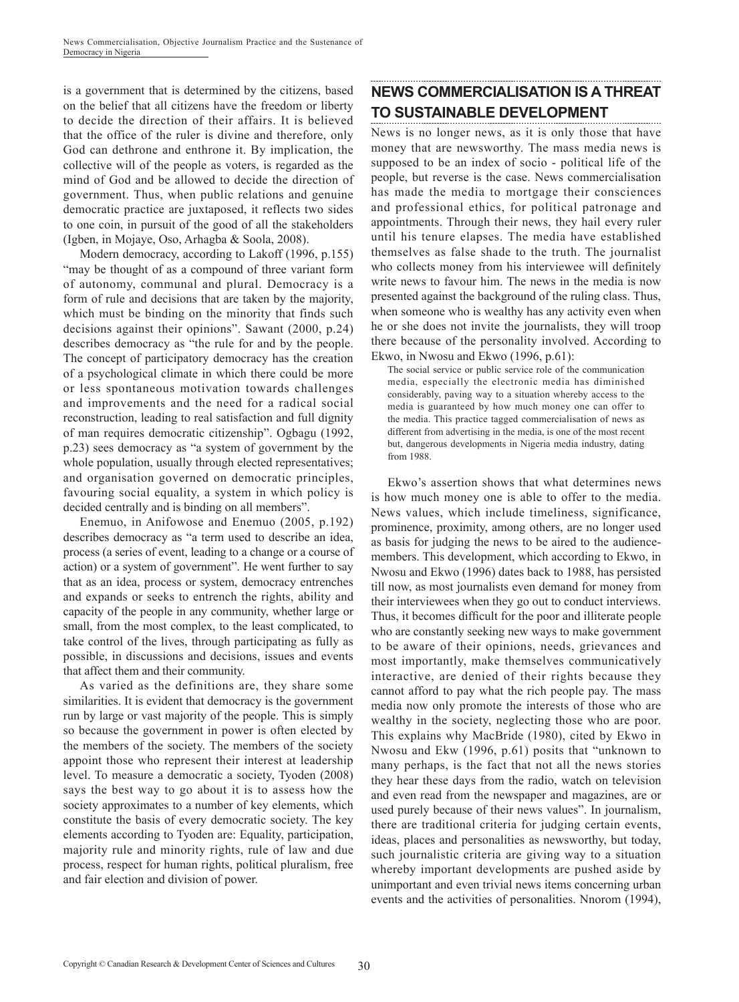is a government that is determined by the citizens, based on the belief that all citizens have the freedom or liberty to decide the direction of their affairs. It is believed that the office of the ruler is divine and therefore, only God can dethrone and enthrone it. By implication, the collective will of the people as voters, is regarded as the mind of God and be allowed to decide the direction of government. Thus, when public relations and genuine democratic practice are juxtaposed, it reflects two sides to one coin, in pursuit of the good of all the stakeholders (Igben, in Mojaye, Oso, Arhagba & Soola, 2008).

Modern democracy, according to Lakoff (1996, p.155) "may be thought of as a compound of three variant form of autonomy, communal and plural. Democracy is a form of rule and decisions that are taken by the majority, which must be binding on the minority that finds such decisions against their opinions". Sawant (2000, p.24) describes democracy as "the rule for and by the people. The concept of participatory democracy has the creation of a psychological climate in which there could be more or less spontaneous motivation towards challenges and improvements and the need for a radical social reconstruction, leading to real satisfaction and full dignity of man requires democratic citizenship". Ogbagu (1992, p.23) sees democracy as "a system of government by the whole population, usually through elected representatives; and organisation governed on democratic principles, favouring social equality, a system in which policy is decided centrally and is binding on all members".

Enemuo, in Anifowose and Enemuo (2005, p.192) describes democracy as "a term used to describe an idea, process (a series of event, leading to a change or a course of action) or a system of government". He went further to say that as an idea, process or system, democracy entrenches and expands or seeks to entrench the rights, ability and capacity of the people in any community, whether large or small, from the most complex, to the least complicated, to take control of the lives, through participating as fully as possible, in discussions and decisions, issues and events that affect them and their community.

As varied as the definitions are, they share some similarities. It is evident that democracy is the government run by large or vast majority of the people. This is simply so because the government in power is often elected by the members of the society. The members of the society appoint those who represent their interest at leadership level. To measure a democratic a society, Tyoden (2008) says the best way to go about it is to assess how the society approximates to a number of key elements, which constitute the basis of every democratic society. The key elements according to Tyoden are: Equality, participation, majority rule and minority rights, rule of law and due process, respect for human rights, political pluralism, free and fair election and division of power.

# **NEWS COMMERCIALISATION IS A THREAT TO SUSTAINABLE DEVELOPMENT**

News is no longer news, as it is only those that have money that are newsworthy. The mass media news is supposed to be an index of socio - political life of the people, but reverse is the case. News commercialisation has made the media to mortgage their consciences and professional ethics, for political patronage and appointments. Through their news, they hail every ruler until his tenure elapses. The media have established themselves as false shade to the truth. The journalist who collects money from his interviewee will definitely write news to favour him. The news in the media is now presented against the background of the ruling class. Thus, when someone who is wealthy has any activity even when he or she does not invite the journalists, they will troop there because of the personality involved. According to Ekwo, in Nwosu and Ekwo (1996, p.61):

The social service or public service role of the communication media, especially the electronic media has diminished considerably, paving way to a situation whereby access to the media is guaranteed by how much money one can offer to the media. This practice tagged commercialisation of news as different from advertising in the media, is one of the most recent but, dangerous developments in Nigeria media industry, dating from 1988.

Ekwo's assertion shows that what determines news is how much money one is able to offer to the media. News values, which include timeliness, significance, prominence, proximity, among others, are no longer used as basis for judging the news to be aired to the audiencemembers. This development, which according to Ekwo, in Nwosu and Ekwo (1996) dates back to 1988, has persisted till now, as most journalists even demand for money from their interviewees when they go out to conduct interviews. Thus, it becomes difficult for the poor and illiterate people who are constantly seeking new ways to make government to be aware of their opinions, needs, grievances and most importantly, make themselves communicatively interactive, are denied of their rights because they cannot afford to pay what the rich people pay. The mass media now only promote the interests of those who are wealthy in the society, neglecting those who are poor. This explains why MacBride (1980), cited by Ekwo in Nwosu and Ekw (1996, p.61) posits that "unknown to many perhaps, is the fact that not all the news stories they hear these days from the radio, watch on television and even read from the newspaper and magazines, are or used purely because of their news values". In journalism, there are traditional criteria for judging certain events, ideas, places and personalities as newsworthy, but today, such journalistic criteria are giving way to a situation whereby important developments are pushed aside by unimportant and even trivial news items concerning urban events and the activities of personalities. Nnorom (1994),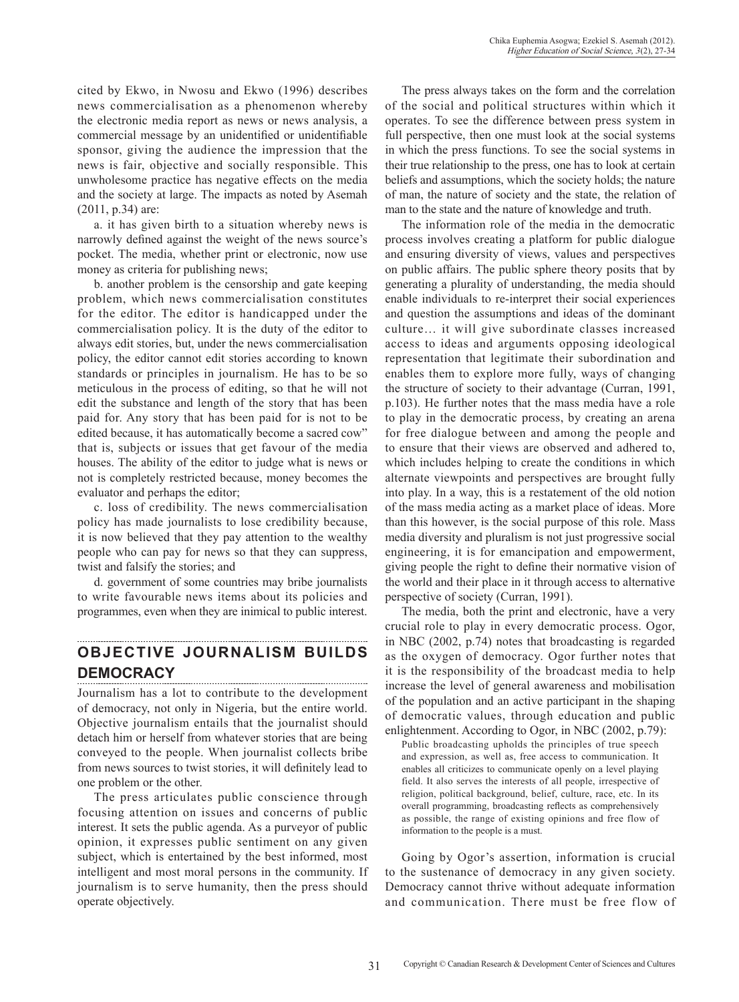cited by Ekwo, in Nwosu and Ekwo (1996) describes news commercialisation as a phenomenon whereby the electronic media report as news or news analysis, a commercial message by an unidentified or unidentifiable sponsor, giving the audience the impression that the news is fair, objective and socially responsible. This unwholesome practice has negative effects on the media and the society at large. The impacts as noted by Asemah (2011, p.34) are:

a. it has given birth to a situation whereby news is narrowly defined against the weight of the news source's pocket. The media, whether print or electronic, now use money as criteria for publishing news;

b. another problem is the censorship and gate keeping problem, which news commercialisation constitutes for the editor. The editor is handicapped under the commercialisation policy. It is the duty of the editor to always edit stories, but, under the news commercialisation policy, the editor cannot edit stories according to known standards or principles in journalism. He has to be so meticulous in the process of editing, so that he will not edit the substance and length of the story that has been paid for. Any story that has been paid for is not to be edited because, it has automatically become a sacred cow" that is, subjects or issues that get favour of the media houses. The ability of the editor to judge what is news or not is completely restricted because, money becomes the evaluator and perhaps the editor;

c. loss of credibility. The news commercialisation policy has made journalists to lose credibility because, it is now believed that they pay attention to the wealthy people who can pay for news so that they can suppress, twist and falsify the stories; and

d. government of some countries may bribe journalists to write favourable news items about its policies and programmes, even when they are inimical to public interest.

#### **OBJECTIVE JOURNALISM BUILDS DEMOCRACY**

Journalism has a lot to contribute to the development of democracy, not only in Nigeria, but the entire world. Objective journalism entails that the journalist should detach him or herself from whatever stories that are being conveyed to the people. When journalist collects bribe from news sources to twist stories, it will definitely lead to one problem or the other.

The press articulates public conscience through focusing attention on issues and concerns of public interest. It sets the public agenda. As a purveyor of public opinion, it expresses public sentiment on any given subject, which is entertained by the best informed, most intelligent and most moral persons in the community. If journalism is to serve humanity, then the press should operate objectively.

The press always takes on the form and the correlation of the social and political structures within which it operates. To see the difference between press system in full perspective, then one must look at the social systems in which the press functions. To see the social systems in their true relationship to the press, one has to look at certain beliefs and assumptions, which the society holds; the nature of man, the nature of society and the state, the relation of man to the state and the nature of knowledge and truth.

The information role of the media in the democratic process involves creating a platform for public dialogue and ensuring diversity of views, values and perspectives on public affairs. The public sphere theory posits that by generating a plurality of understanding, the media should enable individuals to re-interpret their social experiences and question the assumptions and ideas of the dominant culture… it will give subordinate classes increased access to ideas and arguments opposing ideological representation that legitimate their subordination and enables them to explore more fully, ways of changing the structure of society to their advantage (Curran, 1991, p.103). He further notes that the mass media have a role to play in the democratic process, by creating an arena for free dialogue between and among the people and to ensure that their views are observed and adhered to, which includes helping to create the conditions in which alternate viewpoints and perspectives are brought fully into play. In a way, this is a restatement of the old notion of the mass media acting as a market place of ideas. More than this however, is the social purpose of this role. Mass media diversity and pluralism is not just progressive social engineering, it is for emancipation and empowerment, giving people the right to define their normative vision of the world and their place in it through access to alternative perspective of society (Curran, 1991).

The media, both the print and electronic, have a very crucial role to play in every democratic process. Ogor, in NBC (2002, p.74) notes that broadcasting is regarded as the oxygen of democracy. Ogor further notes that it is the responsibility of the broadcast media to help increase the level of general awareness and mobilisation of the population and an active participant in the shaping of democratic values, through education and public enlightenment. According to Ogor, in NBC (2002, p.79):

Public broadcasting upholds the principles of true speech and expression, as well as, free access to communication. It enables all criticizes to communicate openly on a level playing field. It also serves the interests of all people, irrespective of religion, political background, belief, culture, race, etc. In its overall programming, broadcasting reflects as comprehensively as possible, the range of existing opinions and free flow of information to the people is a must.

Going by Ogor's assertion, information is crucial to the sustenance of democracy in any given society. Democracy cannot thrive without adequate information and communication. There must be free flow of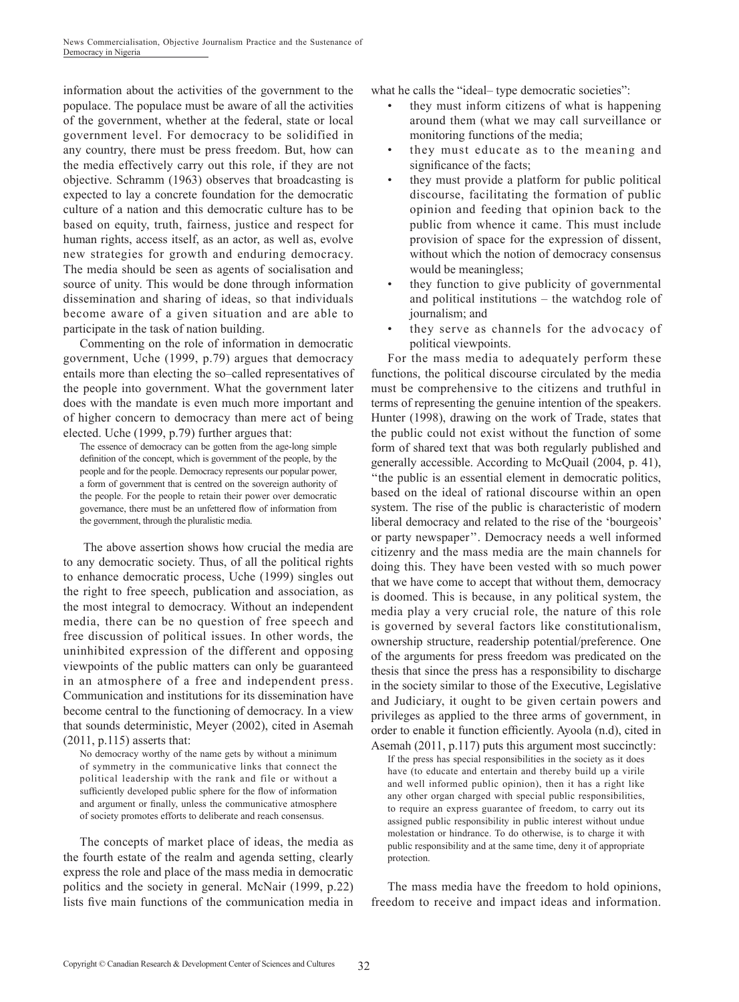information about the activities of the government to the populace. The populace must be aware of all the activities of the government, whether at the federal, state or local government level. For democracy to be solidified in any country, there must be press freedom. But, how can the media effectively carry out this role, if they are not objective. Schramm (1963) observes that broadcasting is expected to lay a concrete foundation for the democratic culture of a nation and this democratic culture has to be based on equity, truth, fairness, justice and respect for human rights, access itself, as an actor, as well as, evolve new strategies for growth and enduring democracy. The media should be seen as agents of socialisation and source of unity. This would be done through information dissemination and sharing of ideas, so that individuals become aware of a given situation and are able to participate in the task of nation building.

Commenting on the role of information in democratic government, Uche (1999, p.79) argues that democracy entails more than electing the so–called representatives of the people into government. What the government later does with the mandate is even much more important and of higher concern to democracy than mere act of being elected. Uche (1999, p.79) further argues that:

The essence of democracy can be gotten from the age-long simple definition of the concept, which is government of the people, by the people and for the people. Democracy represents our popular power, a form of government that is centred on the sovereign authority of the people. For the people to retain their power over democratic governance, there must be an unfettered flow of information from the government, through the pluralistic media.

 The above assertion shows how crucial the media are to any democratic society. Thus, of all the political rights to enhance democratic process, Uche (1999) singles out the right to free speech, publication and association, as the most integral to democracy. Without an independent media, there can be no question of free speech and free discussion of political issues. In other words, the uninhibited expression of the different and opposing viewpoints of the public matters can only be guaranteed in an atmosphere of a free and independent press. Communication and institutions for its dissemination have become central to the functioning of democracy. In a view that sounds deterministic, Meyer (2002), cited in Asemah (2011, p.115) asserts that:

No democracy worthy of the name gets by without a minimum of symmetry in the communicative links that connect the political leadership with the rank and file or without a sufficiently developed public sphere for the flow of information and argument or finally, unless the communicative atmosphere of society promotes efforts to deliberate and reach consensus.

The concepts of market place of ideas, the media as the fourth estate of the realm and agenda setting, clearly express the role and place of the mass media in democratic politics and the society in general. McNair (1999, p.22) lists five main functions of the communication media in what he calls the "ideal- type democratic societies":

- they must inform citizens of what is happening around them (what we may call surveillance or monitoring functions of the media;
- they must educate as to the meaning and significance of the facts;
- they must provide a platform for public political discourse, facilitating the formation of public opinion and feeding that opinion back to the public from whence it came. This must include provision of space for the expression of dissent, without which the notion of democracy consensus would be meaningless;
- they function to give publicity of governmental and political institutions – the watchdog role of journalism; and
- they serve as channels for the advocacy of political viewpoints.

For the mass media to adequately perform these functions, the political discourse circulated by the media must be comprehensive to the citizens and truthful in terms of representing the genuine intention of the speakers. Hunter (1998), drawing on the work of Trade, states that the public could not exist without the function of some form of shared text that was both regularly published and generally accessible. According to McQuail (2004, p. 41), ''the public is an essential element in democratic politics, based on the ideal of rational discourse within an open system. The rise of the public is characteristic of modern liberal democracy and related to the rise of the 'bourgeois' or party newspaper''. Democracy needs a well informed citizenry and the mass media are the main channels for doing this. They have been vested with so much power that we have come to accept that without them, democracy is doomed. This is because, in any political system, the media play a very crucial role, the nature of this role is governed by several factors like constitutionalism, ownership structure, readership potential/preference. One of the arguments for press freedom was predicated on the thesis that since the press has a responsibility to discharge in the society similar to those of the Executive, Legislative and Judiciary, it ought to be given certain powers and privileges as applied to the three arms of government, in order to enable it function efficiently. Ayoola (n.d), cited in Asemah (2011, p.117) puts this argument most succinctly:

If the press has special responsibilities in the society as it does have (to educate and entertain and thereby build up a virile and well informed public opinion), then it has a right like any other organ charged with special public responsibilities, to require an express guarantee of freedom, to carry out its assigned public responsibility in public interest without undue molestation or hindrance. To do otherwise, is to charge it with public responsibility and at the same time, deny it of appropriate protection.

The mass media have the freedom to hold opinions, freedom to receive and impact ideas and information.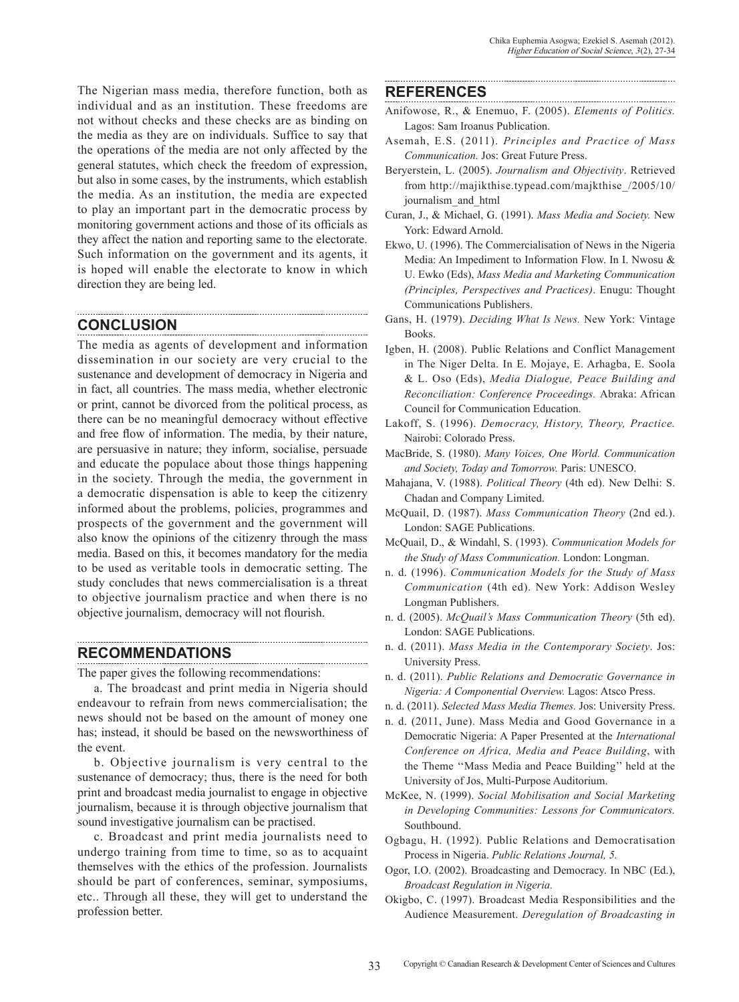The Nigerian mass media, therefore function, both as individual and as an institution. These freedoms are not without checks and these checks are as binding on the media as they are on individuals. Suffice to say that the operations of the media are not only affected by the general statutes, which check the freedom of expression, but also in some cases, by the instruments, which establish the media. As an institution, the media are expected to play an important part in the democratic process by monitoring government actions and those of its officials as they affect the nation and reporting same to the electorate. Such information on the government and its agents, it is hoped will enable the electorate to know in which direction they are being led.

## **CONCLUSION**

The media as agents of development and information dissemination in our society are very crucial to the sustenance and development of democracy in Nigeria and in fact, all countries. The mass media, whether electronic or print, cannot be divorced from the political process, as there can be no meaningful democracy without effective and free flow of information. The media, by their nature, are persuasive in nature; they inform, socialise, persuade and educate the populace about those things happening in the society. Through the media, the government in a democratic dispensation is able to keep the citizenry informed about the problems, policies, programmes and prospects of the government and the government will also know the opinions of the citizenry through the mass media. Based on this, it becomes mandatory for the media to be used as veritable tools in democratic setting. The study concludes that news commercialisation is a threat to objective journalism practice and when there is no objective journalism, democracy will not flourish.

### **RECOMMENDATIONS**

The paper gives the following recommendations:

a. The broadcast and print media in Nigeria should endeavour to refrain from news commercialisation; the news should not be based on the amount of money one has; instead, it should be based on the newsworthiness of the event.

b. Objective journalism is very central to the sustenance of democracy; thus, there is the need for both print and broadcast media journalist to engage in objective journalism, because it is through objective journalism that sound investigative journalism can be practised.

c. Broadcast and print media journalists need to undergo training from time to time, so as to acquaint themselves with the ethics of the profession. Journalists should be part of conferences, seminar, symposiums, etc.. Through all these, they will get to understand the profession better.

#### **REFERENCES**

- Anifowose, R., & Enemuo, F. (2005). *Elements of Politics.* Lagos: Sam Iroanus Publication.
- Asemah, E.S. (2011). *Principles and Practice of Mass Communication.* Jos: Great Future Press.
- Beryerstein, L. (2005). *Journalism and Objectivity*. Retrieved from http://majikthise.typead.com/majkthise\_/2005/10/ journalism\_and\_html
- Curan, J., & Michael, G. (1991). *Mass Media and Society.* New York: Edward Arnold.
- Ekwo, U. (1996). The Commercialisation of News in the Nigeria Media: An Impediment to Information Flow. In I. Nwosu & U. Ewko (Eds), *Mass Media and Marketing Communication (Principles, Perspectives and Practices)*. Enugu: Thought Communications Publishers.
- Gans, H. (1979). *Deciding What Is News.* New York: Vintage Books.
- Igben, H. (2008). Public Relations and Conflict Management in The Niger Delta. In E. Mojaye, E. Arhagba, E. Soola & L. Oso (Eds), *Media Dialogue, Peace Building and Reconciliation: Conference Proceedings.* Abraka: African Council for Communication Education.
- Lakoff, S. (1996). *Democracy, History, Theory, Practice.* Nairobi: Colorado Press.
- MacBride, S. (1980). *Many Voices, One World. Communication and Society, Today and Tomorrow.* Paris: UNESCO.
- Mahajana, V. (1988). *Political Theory* (4th ed). New Delhi: S. Chadan and Company Limited.
- McQuail, D. (1987). *Mass Communication Theory* (2nd ed.). London: SAGE Publications.
- McQuail, D., & Windahl, S. (1993). *Communication Models for the Study of Mass Communication.* London: Longman.
- n. d. (1996). *Communication Models for the Study of Mass Communication* (4th ed). New York: Addison Wesley Longman Publishers.
- n. d. (2005). *McQuail's Mass Communication Theory* (5th ed). London: SAGE Publications.
- n. d. (2011). *Mass Media in the Contemporary Society*. Jos: University Press.
- n. d. (2011). *Public Relations and Democratic Governance in Nigeria: A Componential Overview.* Lagos: Atsco Press.
- n. d. (2011). *Selected Mass Media Themes.* Jos: University Press.
- n. d. (2011, June). Mass Media and Good Governance in a Democratic Nigeria: A Paper Presented at the *International Conference on Africa, Media and Peace Building*, with the Theme ''Mass Media and Peace Building'' held at the University of Jos, Multi-Purpose Auditorium.
- McKee, N. (1999). *Social Mobilisation and Social Marketing in Developing Communities: Lessons for Communicators.* Southbound.
- Ogbagu, H. (1992). Public Relations and Democratisation Process in Nigeria. *Public Relations Journal, 5.*
- Ogor, I.O. (2002). Broadcasting and Democracy. In NBC (Ed.), *Broadcast Regulation in Nigeria.*
- Okigbo, C. (1997). Broadcast Media Responsibilities and the Audience Measurement. *Deregulation of Broadcasting in*